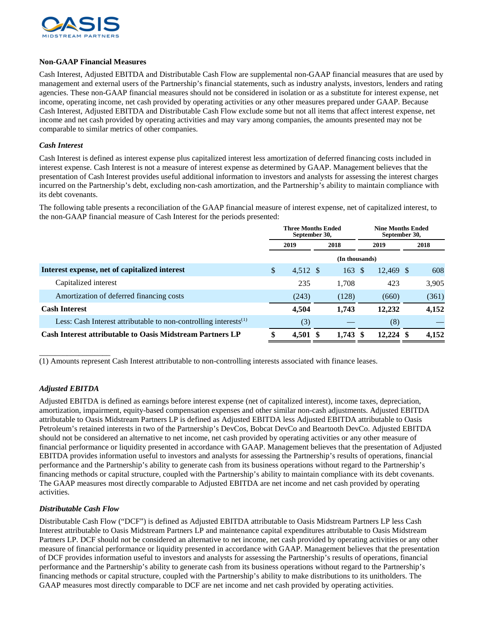

## **Non-GAAP Financial Measures**

Cash Interest, Adjusted EBITDA and Distributable Cash Flow are supplemental non-GAAP financial measures that are used by management and external users of the Partnership's financial statements, such as industry analysts, investors, lenders and rating agencies. These non-GAAP financial measures should not be considered in isolation or as a substitute for interest expense, net income, operating income, net cash provided by operating activities or any other measures prepared under GAAP. Because Cash Interest, Adjusted EBITDA and Distributable Cash Flow exclude some but not all items that affect interest expense, net income and net cash provided by operating activities and may vary among companies, the amounts presented may not be comparable to similar metrics of other companies.

## *Cash Interest*

Cash Interest is defined as interest expense plus capitalized interest less amortization of deferred financing costs included in interest expense. Cash Interest is not a measure of interest expense as determined by GAAP. Management believes that the presentation of Cash Interest provides useful additional information to investors and analysts for assessing the interest charges incurred on the Partnership's debt, excluding non-cash amortization, and the Partnership's ability to maintain compliance with its debt covenants.

The following table presents a reconciliation of the GAAP financial measure of interest expense, net of capitalized interest, to the non-GAAP financial measure of Cash Interest for the periods presented:

|                                                                              | <b>Three Months Ended</b><br>September 30, |          |      |       | <b>Nine Months Ended</b><br>September 30, |             |      |       |
|------------------------------------------------------------------------------|--------------------------------------------|----------|------|-------|-------------------------------------------|-------------|------|-------|
|                                                                              | 2019                                       |          | 2018 |       | 2019                                      |             | 2018 |       |
|                                                                              |                                            |          |      |       |                                           |             |      |       |
| Interest expense, net of capitalized interest                                | \$                                         | 4,512 \$ |      | 163   | -S                                        | 12.469 \$   |      | 608   |
| Capitalized interest                                                         |                                            | 235      |      | 1.708 |                                           | 423         |      | 3.905 |
| Amortization of deferred financing costs                                     |                                            | (243)    |      | (128) |                                           | (660)       |      | (361) |
| <b>Cash Interest</b>                                                         |                                            | 4,504    |      | 1,743 |                                           | 12,232      |      | 4,152 |
| Less: Cash Interest attributable to non-controlling interests <sup>(1)</sup> |                                            | (3)      |      |       |                                           | (8)         |      |       |
| <b>Cash Interest attributable to Oasis Midstream Partners LP</b>             |                                            | 4,501    |      | 1,743 | -8                                        | $12.224$ \$ |      | 4,152 |

(1) Amounts represent Cash Interest attributable to non-controlling interests associated with finance leases.

## *Adjusted EBITDA*

\_\_\_\_\_\_\_\_\_\_\_\_\_\_\_\_\_\_

Adjusted EBITDA is defined as earnings before interest expense (net of capitalized interest), income taxes, depreciation, amortization, impairment, equity-based compensation expenses and other similar non-cash adjustments. Adjusted EBITDA attributable to Oasis Midstream Partners LP is defined as Adjusted EBITDA less Adjusted EBITDA attributable to Oasis Petroleum's retained interests in two of the Partnership's DevCos, Bobcat DevCo and Beartooth DevCo. Adjusted EBITDA should not be considered an alternative to net income, net cash provided by operating activities or any other measure of financial performance or liquidity presented in accordance with GAAP. Management believes that the presentation of Adjusted EBITDA provides information useful to investors and analysts for assessing the Partnership's results of operations, financial performance and the Partnership's ability to generate cash from its business operations without regard to the Partnership's financing methods or capital structure, coupled with the Partnership's ability to maintain compliance with its debt covenants. The GAAP measures most directly comparable to Adjusted EBITDA are net income and net cash provided by operating activities.

## *Distributable Cash Flow*

Distributable Cash Flow ("DCF") is defined as Adjusted EBITDA attributable to Oasis Midstream Partners LP less Cash Interest attributable to Oasis Midstream Partners LP and maintenance capital expenditures attributable to Oasis Midstream Partners LP. DCF should not be considered an alternative to net income, net cash provided by operating activities or any other measure of financial performance or liquidity presented in accordance with GAAP. Management believes that the presentation of DCF provides information useful to investors and analysts for assessing the Partnership's results of operations, financial performance and the Partnership's ability to generate cash from its business operations without regard to the Partnership's financing methods or capital structure, coupled with the Partnership's ability to make distributions to its unitholders. The GAAP measures most directly comparable to DCF are net income and net cash provided by operating activities.